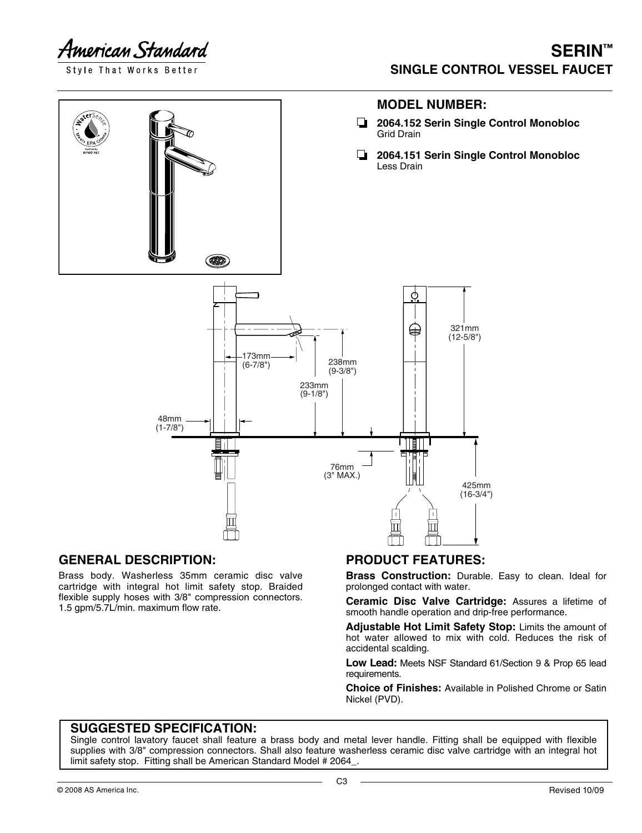American Standard

Style That Works Better

## **SERIN™ SINGLE CONTROL VESSEL FAUCET**



#### **GENERAL DESCRIPTION:**

Brass body. Washerless 35mm ceramic disc valve cartridge with integral hot limit safety stop. Braided flexible supply hoses with 3/8" compression connectors. 1.5 gpm/5.7L/min. maximum flow rate.

### **PRODUCT FEATURES:**

**Brass Construction:** Durable. Easy to clean. Ideal for prolonged contact with water.

**Ceramic Disc Valve Cartridge:** Assures a lifetime of smooth handle operation and drip-free performance.

**Adjustable Hot Limit Safety Stop:** Limits the amount of hot water allowed to mix with cold. Reduces the risk of accidental scalding.

**Low Lead:** Meets NSF Standard 61/Section 9 & Prop 65 lead requirements.

**Choice of Finishes:** Available in Polished Chrome or Satin Nickel (PVD).

#### **SUGGESTED SPECIFICATION:**

Single control lavatory faucet shall feature a brass body and metal lever handle. Fitting shall be equipped with flexible supplies with 3/8" compression connectors. Shall also feature washerless ceramic disc valve cartridge with an integral hot limit safety stop. Fitting shall be American Standard Model # 2064\_.